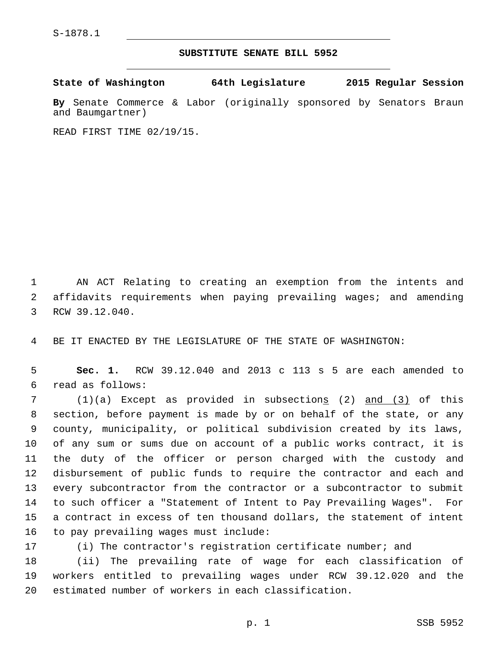## **SUBSTITUTE SENATE BILL 5952**

**State of Washington 64th Legislature 2015 Regular Session**

**By** Senate Commerce & Labor (originally sponsored by Senators Braun and Baumgartner)

READ FIRST TIME 02/19/15.

1 AN ACT Relating to creating an exemption from the intents and 2 affidavits requirements when paying prevailing wages; and amending 3 RCW 39.12.040.

4 BE IT ENACTED BY THE LEGISLATURE OF THE STATE OF WASHINGTON:

5 **Sec. 1.** RCW 39.12.040 and 2013 c 113 s 5 are each amended to read as follows:6

7 (1)(a) Except as provided in subsections (2) and (3) of this section, before payment is made by or on behalf of the state, or any county, municipality, or political subdivision created by its laws, of any sum or sums due on account of a public works contract, it is the duty of the officer or person charged with the custody and disbursement of public funds to require the contractor and each and every subcontractor from the contractor or a subcontractor to submit to such officer a "Statement of Intent to Pay Prevailing Wages". For a contract in excess of ten thousand dollars, the statement of intent 16 to pay prevailing wages must include:

17 (i) The contractor's registration certificate number; and

18 (ii) The prevailing rate of wage for each classification of 19 workers entitled to prevailing wages under RCW 39.12.020 and the 20 estimated number of workers in each classification.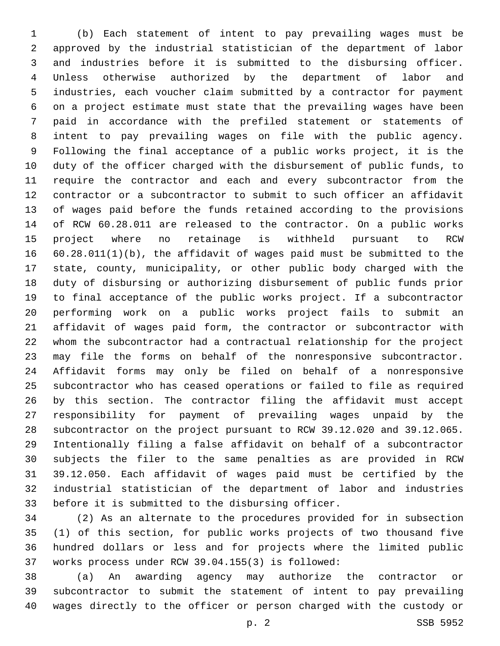(b) Each statement of intent to pay prevailing wages must be approved by the industrial statistician of the department of labor and industries before it is submitted to the disbursing officer. Unless otherwise authorized by the department of labor and industries, each voucher claim submitted by a contractor for payment on a project estimate must state that the prevailing wages have been paid in accordance with the prefiled statement or statements of intent to pay prevailing wages on file with the public agency. Following the final acceptance of a public works project, it is the duty of the officer charged with the disbursement of public funds, to require the contractor and each and every subcontractor from the contractor or a subcontractor to submit to such officer an affidavit of wages paid before the funds retained according to the provisions of RCW 60.28.011 are released to the contractor. On a public works project where no retainage is withheld pursuant to RCW 60.28.011(1)(b), the affidavit of wages paid must be submitted to the state, county, municipality, or other public body charged with the duty of disbursing or authorizing disbursement of public funds prior to final acceptance of the public works project. If a subcontractor performing work on a public works project fails to submit an affidavit of wages paid form, the contractor or subcontractor with whom the subcontractor had a contractual relationship for the project may file the forms on behalf of the nonresponsive subcontractor. Affidavit forms may only be filed on behalf of a nonresponsive subcontractor who has ceased operations or failed to file as required by this section. The contractor filing the affidavit must accept responsibility for payment of prevailing wages unpaid by the subcontractor on the project pursuant to RCW 39.12.020 and 39.12.065. Intentionally filing a false affidavit on behalf of a subcontractor subjects the filer to the same penalties as are provided in RCW 39.12.050. Each affidavit of wages paid must be certified by the industrial statistician of the department of labor and industries 33 before it is submitted to the disbursing officer.

 (2) As an alternate to the procedures provided for in subsection (1) of this section, for public works projects of two thousand five hundred dollars or less and for projects where the limited public 37 works process under RCW 39.04.155(3) is followed:

 (a) An awarding agency may authorize the contractor or subcontractor to submit the statement of intent to pay prevailing wages directly to the officer or person charged with the custody or

p. 2 SSB 5952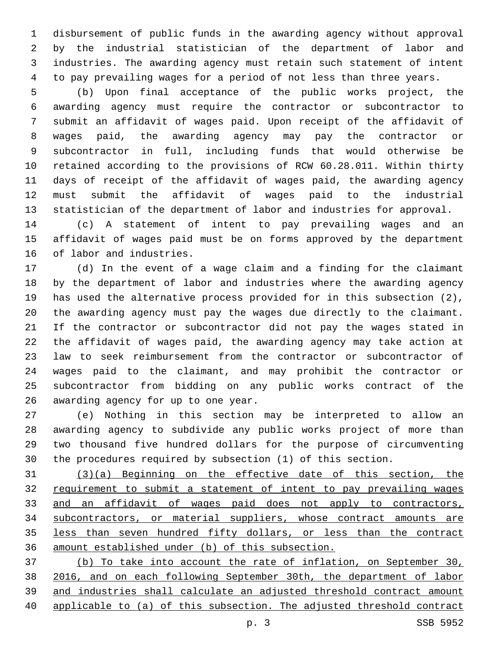disbursement of public funds in the awarding agency without approval by the industrial statistician of the department of labor and industries. The awarding agency must retain such statement of intent to pay prevailing wages for a period of not less than three years.

 (b) Upon final acceptance of the public works project, the awarding agency must require the contractor or subcontractor to submit an affidavit of wages paid. Upon receipt of the affidavit of wages paid, the awarding agency may pay the contractor or subcontractor in full, including funds that would otherwise be retained according to the provisions of RCW 60.28.011. Within thirty days of receipt of the affidavit of wages paid, the awarding agency must submit the affidavit of wages paid to the industrial statistician of the department of labor and industries for approval.

 (c) A statement of intent to pay prevailing wages and an affidavit of wages paid must be on forms approved by the department 16 of labor and industries.

 (d) In the event of a wage claim and a finding for the claimant by the department of labor and industries where the awarding agency has used the alternative process provided for in this subsection (2), the awarding agency must pay the wages due directly to the claimant. If the contractor or subcontractor did not pay the wages stated in the affidavit of wages paid, the awarding agency may take action at law to seek reimbursement from the contractor or subcontractor of wages paid to the claimant, and may prohibit the contractor or subcontractor from bidding on any public works contract of the 26 awarding agency for up to one year.

 (e) Nothing in this section may be interpreted to allow an awarding agency to subdivide any public works project of more than two thousand five hundred dollars for the purpose of circumventing the procedures required by subsection (1) of this section.

 (3)(a) Beginning on the effective date of this section, the requirement to submit a statement of intent to pay prevailing wages 33 and an affidavit of wages paid does not apply to contractors, subcontractors, or material suppliers, whose contract amounts are less than seven hundred fifty dollars, or less than the contract amount established under (b) of this subsection.

 (b) To take into account the rate of inflation, on September 30, 2016, and on each following September 30th, the department of labor and industries shall calculate an adjusted threshold contract amount applicable to (a) of this subsection. The adjusted threshold contract